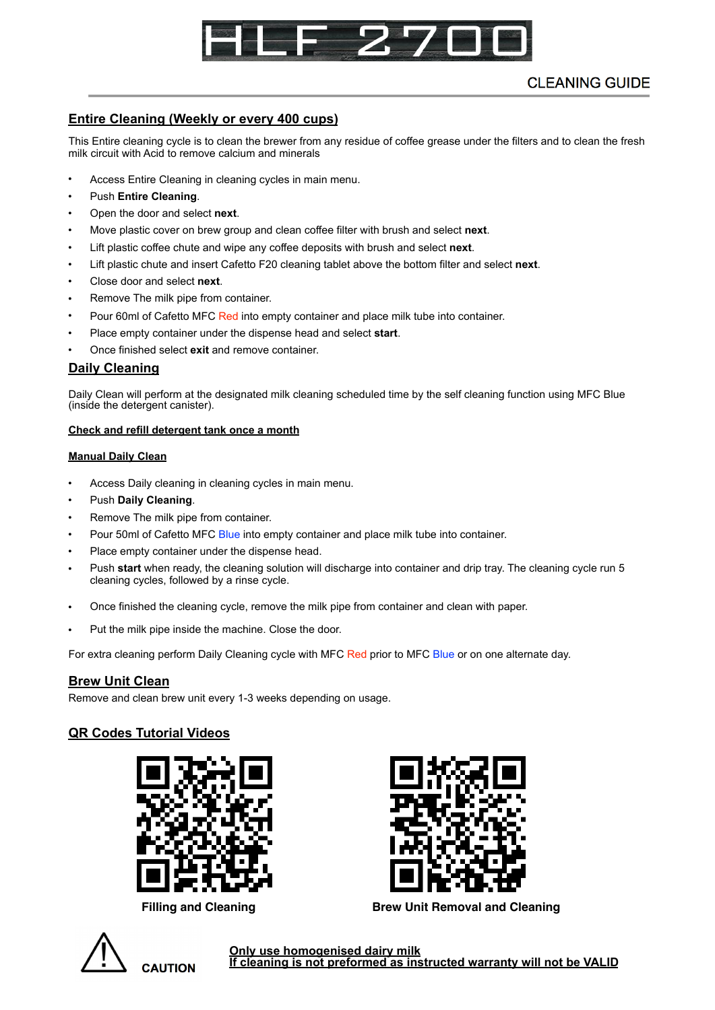

# **CLEANING GUIDE**

## **Entire Cleaning (Weekly or every 400 cups)**

This Entire cleaning cycle is to clean the brewer from any residue of coffee grease under the filters and to clean the fresh milk circuit with Acid to remove calcium and minerals

- Access Entire Cleaning in cleaning cycles in main menu.
- Push **Entire Cleaning**.
- Open the door and select **next**.
- Move plastic cover on brew group and clean coffee filter with brush and select **next**.
- Lift plastic coffee chute and wipe any coffee deposits with brush and select **next**.
- Lift plastic chute and insert Cafetto F20 cleaning tablet above the bottom filter and select **next**.
- Close door and select **next**.
- Remove The milk pipe from container.
- Pour 60ml of Cafetto MFC Red into empty container and place milk tube into container.
- Place empty container under the dispense head and select **start**.
- Once finished select **exit** and remove container.

### **Daily Cleaning**

Daily Clean will perform at the designated milk cleaning scheduled time by the self cleaning function using MFC Blue (inside the detergent canister).

#### **Check and refill detergent tank once a month**

#### **Manual Daily Clean**

- Access Daily cleaning in cleaning cycles in main menu.
- Push **Daily Cleaning**.
- Remove The milk pipe from container.
- Pour 50ml of Cafetto MFC Blue into empty container and place milk tube into container.
- Place empty container under the dispense head.
- Push **start** when ready, the cleaning solution will discharge into container and drip tray. The cleaning cycle run 5 cleaning cycles, followed by a rinse cycle.
- Once finished the cleaning cycle, remove the milk pipe from container and clean with paper.
- Put the milk pipe inside the machine. Close the door.

For extra cleaning perform Daily Cleaning cycle with MFC Red prior to MFC Blue or on one alternate day.

### **Brew Unit Clean**

Remove and clean brew unit every 1-3 weeks depending on usage.

## **QR Codes Tutorial Videos**







Filling and Cleaning **Brew Unit Removal and Cleaning** 



**Only use homogenised dairy milk If cleaning is not preformed as instructed warranty will not be VALID**